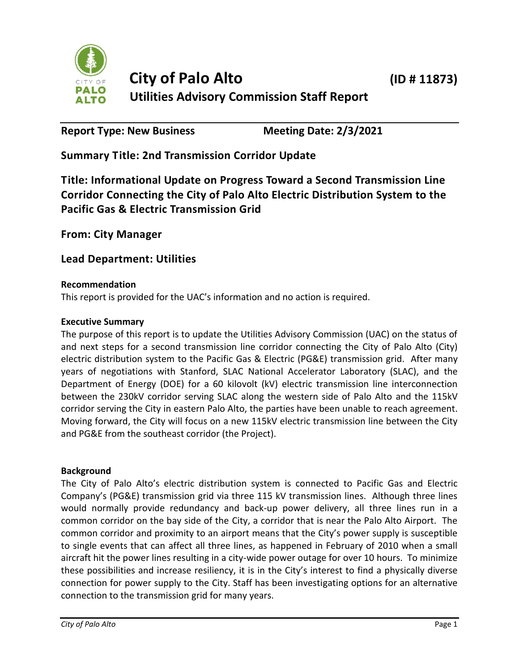

**Report Type: New Business Meeting Date: 2/3/2021**

**Summary Title: 2nd Transmission Corridor Update**

**Title: Informational Update on Progress Toward a Second Transmission Line Corridor Connecting the City of Palo Alto Electric Distribution System to the Pacific Gas & Electric Transmission Grid**

**From: City Manager**

**Lead Department: Utilities**

# **Recommendation**

This report is provided for the UAC's information and no action is required.

# **Executive Summary**

The purpose of this report is to update the Utilities Advisory Commission (UAC) on the status of and next steps for a second transmission line corridor connecting the City of Palo Alto (City) electric distribution system to the Pacific Gas & Electric (PG&E) transmission grid. After many years of negotiations with Stanford, SLAC National Accelerator Laboratory (SLAC), and the Department of Energy (DOE) for a 60 kilovolt (kV) electric transmission line interconnection between the 230kV corridor serving SLAC along the western side of Palo Alto and the 115kV corridor serving the City in eastern Palo Alto, the parties have been unable to reach agreement. Moving forward, the City will focus on a new 115kV electric transmission line between the City and PG&E from the southeast corridor (the Project).

## **Background**

The City of Palo Alto's electric distribution system is connected to Pacific Gas and Electric Company's (PG&E) transmission grid via three 115 kV transmission lines. Although three lines would normally provide redundancy and back-up power delivery, all three lines run in a common corridor on the bay side of the City, a corridor that is near the Palo Alto Airport. The common corridor and proximity to an airport means that the City's power supply is susceptible to single events that can affect all three lines, as happened in February of 2010 when a small aircraft hit the power lines resulting in a city-wide power outage for over 10 hours. To minimize these possibilities and increase resiliency, it is in the City's interest to find a physically diverse connection for power supply to the City. Staff has been investigating options for an alternative connection to the transmission grid for many years.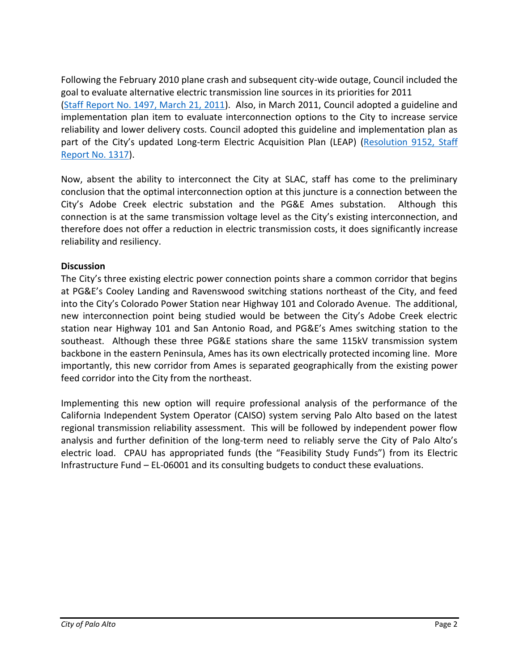Following the February 2010 plane crash and subsequent city-wide outage, Council included the goal to evaluate alternative electric transmission line sources in its priorities for 2011 [\(Staff Report No. 1497, March 21, 2011\)](https://www.cityofpaloalto.org/civicax/filebank/documents/41080). Also, in March 2011, Council adopted a guideline and implementation plan item to evaluate interconnection options to the City to increase service reliability and lower delivery costs. Council adopted this guideline and implementation plan as part of the City's updated Long-term Electric Acquisition Plan (LEAP) (Resolution 9152, Staff [Report No. 1317\)](https://www.cityofpaloalto.org/civicax/filebank/documents/41024).

Now, absent the ability to interconnect the City at SLAC, staff has come to the preliminary conclusion that the optimal interconnection option at this juncture is a connection between the City's Adobe Creek electric substation and the PG&E Ames substation. Although this connection is at the same transmission voltage level as the City's existing interconnection, and therefore does not offer a reduction in electric transmission costs, it does significantly increase reliability and resiliency.

## **Discussion**

The City's three existing electric power connection points share a common corridor that begins at PG&E's Cooley Landing and Ravenswood switching stations northeast of the City, and feed into the City's Colorado Power Station near Highway 101 and Colorado Avenue. The additional, new interconnection point being studied would be between the City's Adobe Creek electric station near Highway 101 and San Antonio Road, and PG&E's Ames switching station to the southeast. Although these three PG&E stations share the same 115kV transmission system backbone in the eastern Peninsula, Ames has its own electrically protected incoming line. More importantly, this new corridor from Ames is separated geographically from the existing power feed corridor into the City from the northeast.

Implementing this new option will require professional analysis of the performance of the California Independent System Operator (CAISO) system serving Palo Alto based on the latest regional transmission reliability assessment. This will be followed by independent power flow analysis and further definition of the long-term need to reliably serve the City of Palo Alto's electric load. CPAU has appropriated funds (the "Feasibility Study Funds") from its Electric Infrastructure Fund – EL-06001 and its consulting budgets to conduct these evaluations.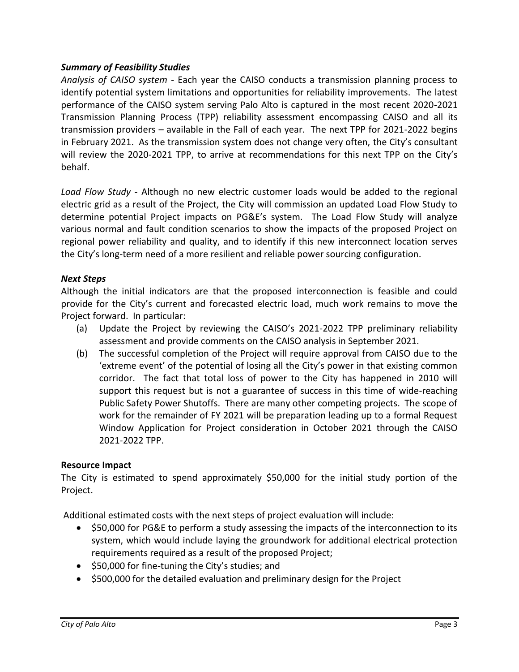## *Summary of Feasibility Studies*

*Analysis of CAISO system* - Each year the CAISO conducts a transmission planning process to identify potential system limitations and opportunities for reliability improvements. The latest performance of the CAISO system serving Palo Alto is captured in the most recent 2020-2021 Transmission Planning Process (TPP) reliability assessment encompassing CAISO and all its transmission providers – available in the Fall of each year. The next TPP for 2021-2022 begins in February 2021. As the transmission system does not change very often, the City's consultant will review the 2020-2021 TPP, to arrive at recommendations for this next TPP on the City's behalf.

*Load Flow Study -* Although no new electric customer loads would be added to the regional electric grid as a result of the Project, the City will commission an updated Load Flow Study to determine potential Project impacts on PG&E's system. The Load Flow Study will analyze various normal and fault condition scenarios to show the impacts of the proposed Project on regional power reliability and quality, and to identify if this new interconnect location serves the City's long-term need of a more resilient and reliable power sourcing configuration.

# *Next Steps*

Although the initial indicators are that the proposed interconnection is feasible and could provide for the City's current and forecasted electric load, much work remains to move the Project forward. In particular:

- (a) Update the Project by reviewing the CAISO's 2021-2022 TPP preliminary reliability assessment and provide comments on the CAISO analysis in September 2021.
- (b) The successful completion of the Project will require approval from CAISO due to the 'extreme event' of the potential of losing all the City's power in that existing common corridor. The fact that total loss of power to the City has happened in 2010 will support this request but is not a guarantee of success in this time of wide-reaching Public Safety Power Shutoffs. There are many other competing projects. The scope of work for the remainder of FY 2021 will be preparation leading up to a formal Request Window Application for Project consideration in October 2021 through the CAISO 2021-2022 TPP.

## **Resource Impact**

The City is estimated to spend approximately \$50,000 for the initial study portion of the Project.

Additional estimated costs with the next steps of project evaluation will include:

- \$50,000 for PG&E to perform a study assessing the impacts of the interconnection to its system, which would include laying the groundwork for additional electrical protection requirements required as a result of the proposed Project;
- \$50,000 for fine-tuning the City's studies; and
- \$500,000 for the detailed evaluation and preliminary design for the Project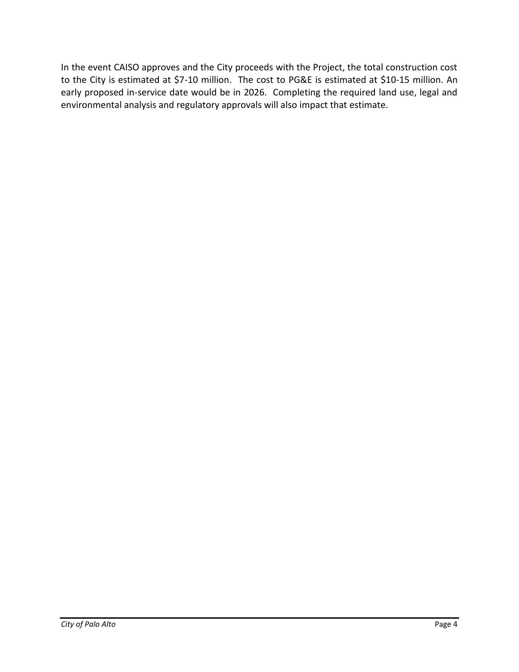In the event CAISO approves and the City proceeds with the Project, the total construction cost to the City is estimated at \$7-10 million. The cost to PG&E is estimated at \$10-15 million. An early proposed in-service date would be in 2026. Completing the required land use, legal and environmental analysis and regulatory approvals will also impact that estimate.